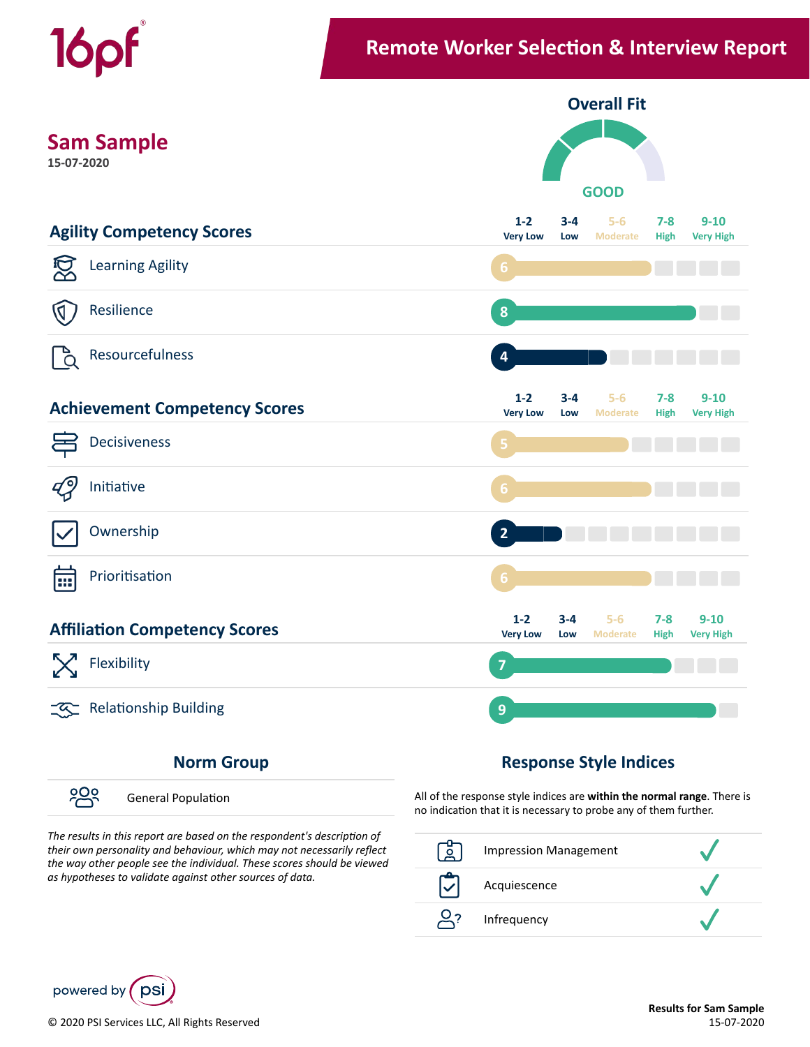



၁၀၀ General Population

## The results in this report are based on the respondent's description of *their own personality and behaviour, which may not necessarily reflect the way other people see the individual. These scores should be viewed as hypotheses to validate against other sources of data.*

All of the response style indices are **within the normal range**. There is no indication that it is necessary to probe any of them further.

| $\Omega$ | <b>Impression Management</b> |  |
|----------|------------------------------|--|
|          | Acquiescence                 |  |
|          | Infrequency                  |  |

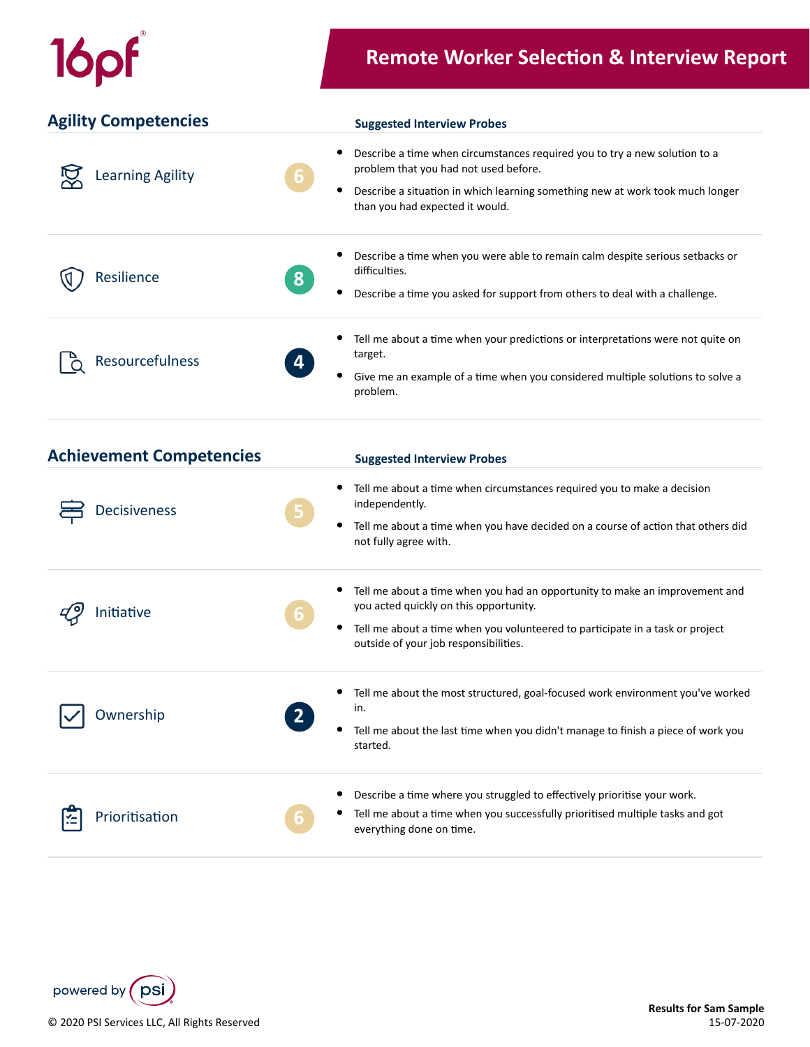## 16pf

## **Remote Worker Selection & Interview Report**

| <b>Agility Competencies</b> | <b>Suggested Interview Probes</b>                                                                                                                                                                                                                   |
|-----------------------------|-----------------------------------------------------------------------------------------------------------------------------------------------------------------------------------------------------------------------------------------------------|
| <b>Learning Agility</b>     | Describe a time when circumstances required you to try a new solution to a<br>problem that you had not used before.<br> 6 <br>٠<br>Describe a situation in which learning something new at work took much longer<br>than you had expected it would. |
| Resilience                  | Describe a time when you were able to remain calm despite serious setbacks or<br>difficulties.<br>8<br>Describe a time you asked for support from others to deal with a challenge.                                                                  |
| Resourcefulness             | Tell me about a time when your predictions or interpretations were not quite on<br>target.<br>4<br>Give me an example of a time when you considered multiple solutions to solve a<br>problem.                                                       |

| <b>Achievement Competencies</b> | <b>Suggested Interview Probes</b>                                                                                                                                                                                                                    |
|---------------------------------|------------------------------------------------------------------------------------------------------------------------------------------------------------------------------------------------------------------------------------------------------|
| <b>Decisiveness</b>             | Tell me about a time when circumstances required you to make a decision<br>independently.<br>Э<br>Tell me about a time when you have decided on a course of action that others did<br>۰<br>not fully agree with.                                     |
| Initiative                      | Tell me about a time when you had an opportunity to make an improvement and<br>you acted quickly on this opportunity.<br>Tell me about a time when you volunteered to participate in a task or project<br>۰<br>outside of your job responsibilities. |
| Ownership                       | Tell me about the most structured, goal-focused work environment you've worked<br>in.<br>Tell me about the last time when you didn't manage to finish a piece of work you<br>started.                                                                |
| Prioritisation                  | Describe a time where you struggled to effectively prioritise your work.<br>Tell me about a time when you successfully prioritised multiple tasks and got<br>×<br>everything done on time.                                                           |